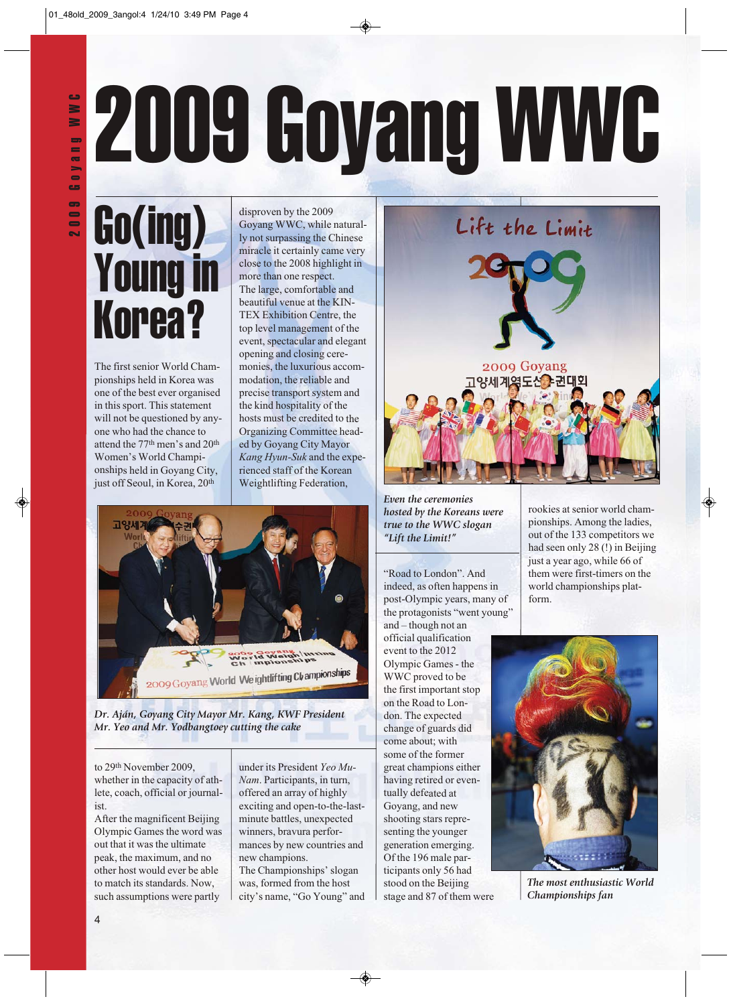# **2009 Goyang WWC**<br>**2** Go(ing) dispresently the 2009

# Go(ing) Young in Korea?

The first senior World Championships held in Korea was one of the best ever organised in this sport. This statement will not be questioned by anyone who had the chance to attend the 77th men's and 20th Women's World Championships held in Goyang City, just off Seoul, in Korea, 20<sup>th</sup>

disproven by the 2009 Goyang WWC, while naturally not surpassing the Chinese miracle it certainly came very close to the 2008 highlight in more than one respect. The large, comfortable and beautiful venue at the KIN-TEX Exhibition Centre, the top level management of the event, spectacular and elegant opening and closing ceremonies, the luxurious accommodation, the reliable and precise transport system and the kind hospitality of the hosts must be credited to the Organizing Committee headed by Goyang City Mayor *Kang Hyun-Suk* and the experienced staff of the Korean Weightlifting Federation,



*Dr. Aján, Goyang City Mayor Mr. Kang, KWF President Mr. Yeo and Mr. Yodbangtoey cutting the cake*

to 29t<sup>h</sup> November 2009, whether in the capacity of athlete, coach, official or journalist.

After the magnificent Beijing Olympic Games the word was out that it was the ultimate peak, the maximum, and no other host would ever be able to match its standards. Now, such assumptions were partly

under its President *Yeo Mu-Nam*. Participants, in turn, offered an array of highly exciting and open-to-the-lastminute battles, unexpected winners, bravura performances by new countries and new champions. The Championships' slogan was, formed from the host city's name, "Go Young" and



*Even the ceremonies hosted by the Koreans were true to the WWC slogan "Lift the Limit!"*

"Road to London". And indeed, as often happens in post-Olympic years, many of the protagonists "went young"

and – though not an official qualification event to the 2012 Olympic Games - the WWC proved to be the first important stop on the Road to London. The expected change of guards did come about; with some of the former great champions either having retired or eventually defeated at Goyang, and new shooting stars representing the younger generation emerging. Of the 196 male participants only 56 had stood on the Beijing stage and 87 of them were

rookies at senior world championships. Among the ladies, out of the 133 competitors we had seen only 28 (!) in Beijing just a year ago, while 66 of them were first-timers on the world championships platform.



*The most enthusiastic World Championships fan*